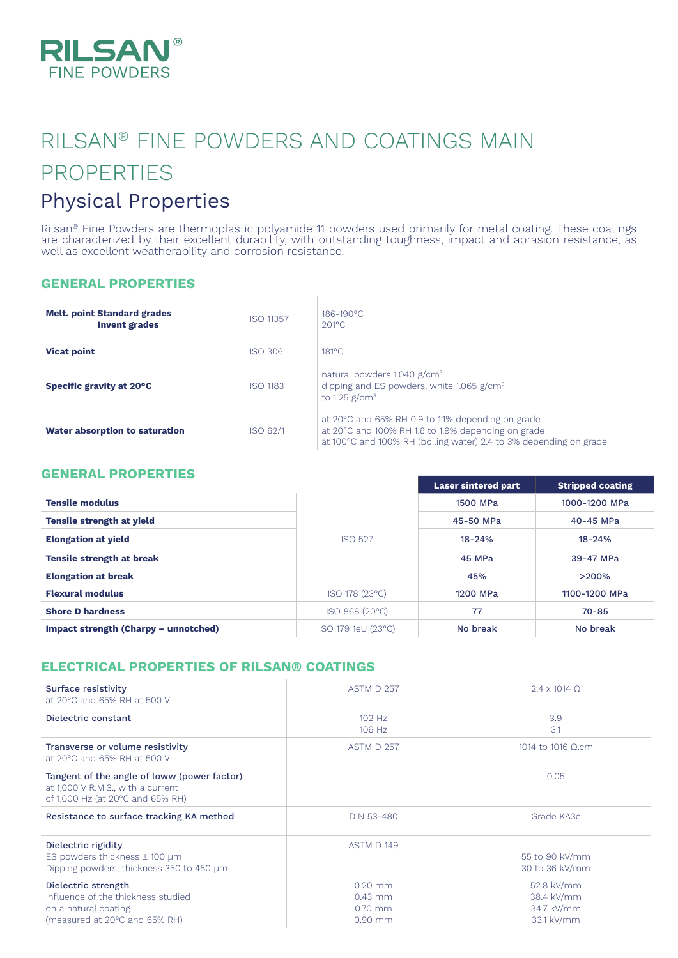

# RILSAN® FINE POWDERS AND COATINGS MAIN PROPERTIES

## Physical Properties

Rilsan® Fine Powders are thermoplastic polyamide 11 powders used primarily for metal coating. These coatings are characterized by their excellent durability, with outstanding toughness, impact and abrasion resistance, as well as excellent weatherability and corrosion resistance.

#### **GENERAL PROPERTIES**

| <b>Melt. point Standard grades</b><br><b>Invent grades</b> | <b>ISO 11357</b> | 186-190°C<br>$201$ °C                                                                                                                                                         |
|------------------------------------------------------------|------------------|-------------------------------------------------------------------------------------------------------------------------------------------------------------------------------|
| <b>Vicat point</b>                                         | ISO 306          | $181$ °C                                                                                                                                                                      |
| Specific gravity at 20°C                                   | <b>ISO 1183</b>  | natural powders 1.040 g/cm <sup>3</sup><br>dipping and ES powders, white 1.065 g/cm <sup>3</sup><br>to 1.25 $g/cm3$                                                           |
| Water absorption to saturation                             | ISO 62/1         | at 20 °C and 65% RH 0.9 to 1.1% depending on grade<br>at 20°C and 100% RH 1.6 to 1.9% depending on grade<br>at 100°C and 100% RH (boiling water) 2.4 to 3% depending on grade |

#### **GENERAL PROPERTIES**

|                                      |                    | <b>Laser sintered part</b> | <b>Stripped coating</b> |
|--------------------------------------|--------------------|----------------------------|-------------------------|
| <b>Tensile modulus</b>               |                    | 1500 MPa                   | 1000-1200 MPa           |
| <b>Tensile strength at yield</b>     |                    | 45-50 MPa                  | 40-45 MPa               |
| <b>Elongation at yield</b>           | <b>ISO 527</b>     | $18 - 24%$                 | $18 - 24%$              |
| <b>Tensile strength at break</b>     |                    | 45 MPa                     | 39-47 MPa               |
| <b>Elongation at break</b>           |                    | 45%                        | >200%                   |
| <b>Flexural modulus</b>              | ISO 178 (23°C)     | 1200 MPa                   | 1100-1200 MPa           |
| <b>Shore D hardness</b>              | ISO 868 (20°C)     | 77                         | $70 - 85$               |
| Impact strength (Charpy – unnotched) | ISO 179 1eU (23°C) | No break                   | No break                |

### **ELECTRICAL PROPERTIES OF RILSAN® COATINGS**

| Surface resistivity<br>at 20°C and 65% RH at 500 V                                                                   | <b>ASTM D 257</b>                                | $2.4 \times 1014$ O                                  |
|----------------------------------------------------------------------------------------------------------------------|--------------------------------------------------|------------------------------------------------------|
| Dielectric constant                                                                                                  | $102$ Hz<br>106 Hz                               | 3.9<br>3.1                                           |
| Transverse or volume resistivity<br>at 20°C and 65% RH at 500 V                                                      | ASTM D 257                                       | 1014 to 1016 Ω.cm                                    |
| Tangent of the angle of loww (power factor)<br>at 1,000 V R.M.S., with a current<br>of 1,000 Hz (at 20°C and 65% RH) |                                                  | 0.05                                                 |
| Resistance to surface tracking KA method                                                                             | DIN 53-480                                       | Grade KA3c                                           |
| Dielectric rigidity<br>ES powders thickness $\pm$ 100 µm<br>Dipping powders, thickness 350 to 450 µm                 | ASTM D 149                                       | 55 to 90 kV/mm<br>30 to 36 kV/mm                     |
| Dielectric strength<br>Influence of the thickness studied<br>on a natural coating<br>(measured at 20°C and 65% RH)   | $0.20$ mm<br>$0.43$ mm<br>$0.70$ mm<br>$0.90$ mm | 52.8 kV/mm<br>38.4 kV/mm<br>34.7 kV/mm<br>33.1 kV/mm |